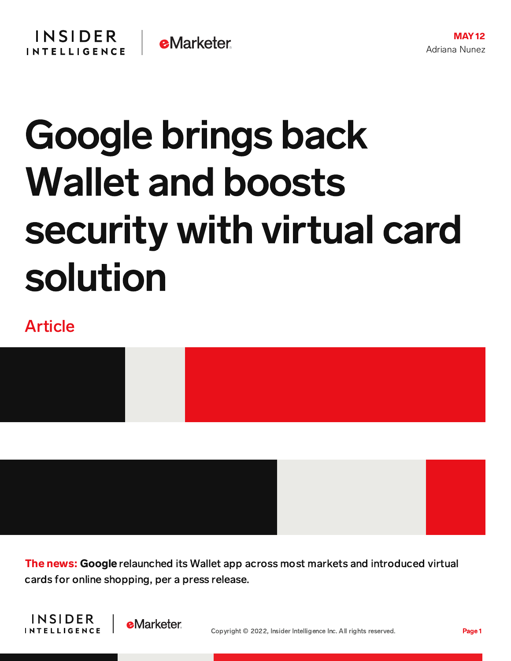## Google brings back Wallet and boosts security with virtual card solution

## Article



**The news: Google** relaunched its Wallet app across most markets and introduced virtual cards for online shopping, per a press release.



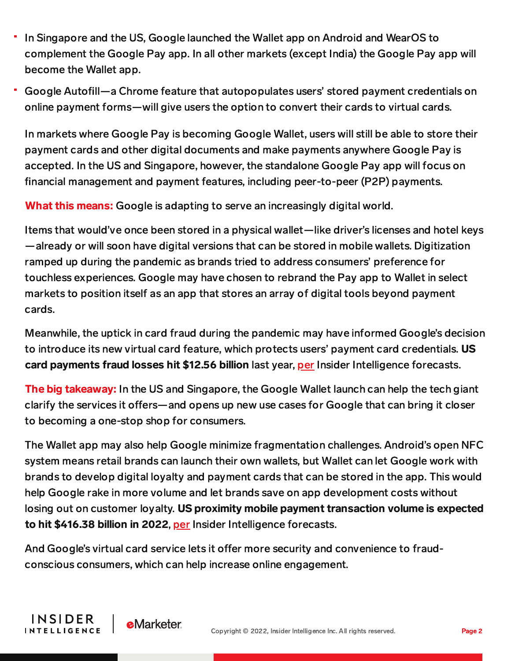- In Singapore and the US, Google launched the Wallet app on Android and WearOS to complement the Google Pay app. In all other markets (except India) the Google Pay app will become the Wallet app.
- Google Autofill—a Chrome feature that autopopulates users' stored payment credentials on online payment forms—will give users the option to convert their cards to virtual cards.

In markets where Google Pay is becoming Google Wallet, users will still be able to store their payment cards and other digital documents and make payments anywhere Google Pay is accepted. In the US and Singapore, however, the standalone Google Pay app will focus on financial management and payment features, including peer-to-peer (P2P) payments.

What this means: Google is adapting to serve an increasingly digital world.

Items that would've once been stored in a physical wallet—like driver's licenses and hotel keys —already or will soon have digital versions that can be stored in mobile wallets. Digitization ramped up during the pandemic as brands tried to address consumers' preference for touchless experiences. Google may have chosen to rebrand the Pay app to Wallet in select markets to position itself as an app that stores an array of digital tools beyond payment cards.

Meanwhile, the uptick in card fraud during the pandemic may have informed Google's decision to introduce its new virtual card feature, which protects users' payment card credentials. US card payments fraud losses hit \$12.56 billion last year, [per](https://forecasts-na1.emarketer.com/6189ae3db215ff0ab4655b16/6189680f200dbd0f5cb4e58d) Insider Intelligence forecasts.

The big takeaway: In the US and Singapore, the Google Wallet launch can help the tech giant clarify the services it offers—and opens up new use cases for Google that can bring it closer to becoming a one-stop shop for consumers.

The Wallet app may also help Google minimize fragmentation challenges. Android's open NFC system means retail brands can launch their own wallets, but Wallet can let Google work with brands to develop digital loyalty and payment cards that can be stored in the app. This would help Google rake in more volume and let brands save on app development costs without losing out on customer loyalty. US proximity mobile payment transaction volume is expected to hit \$416.38 billion in 2022, [per](https://forecasts-na1.emarketer.com/5ae9f52da2835f033cca3697/5851918a0626310a2c186a60) Insider Intelligence forecasts.

And Google's virtual card service lets it offer more security and convenience to fraudconscious consumers, which can help increase online engagement.

**INSIDER** 

**INTELLIGENCE** 

**e**Marketer